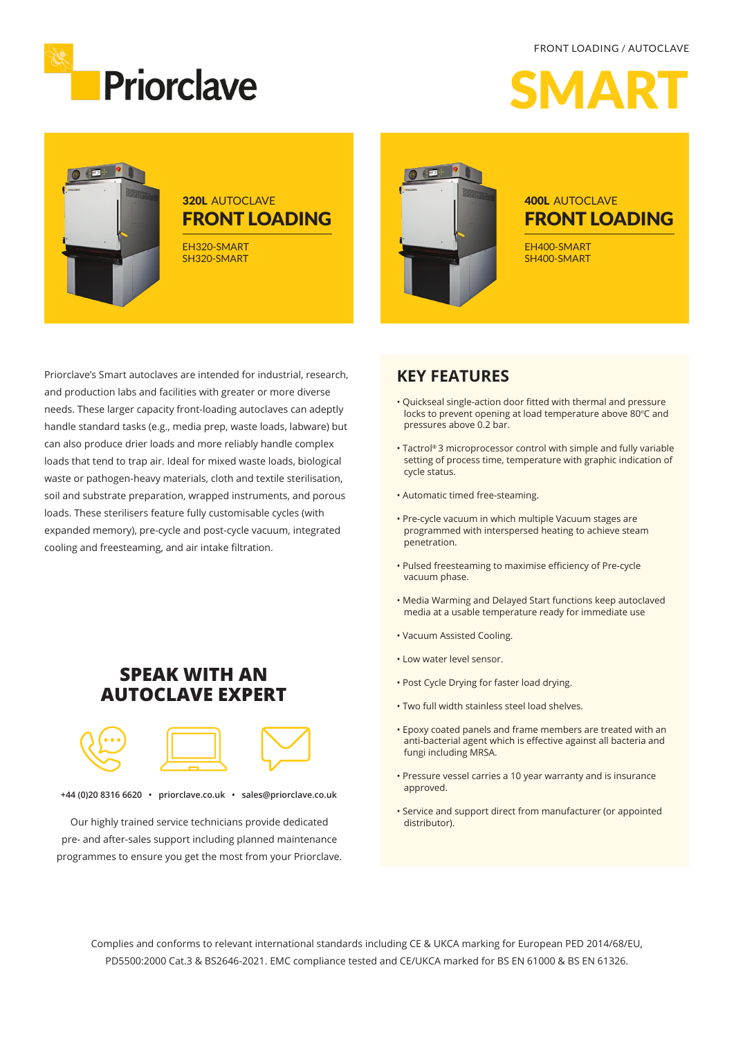FRONT LOADING / AUTOCLAVE



 $\boldsymbol{\Lambda}$ 

## **320L AUTOCLAVE** FRONT LOADING

EH320-SMART SH320-SMART



### 400L AUTOCLAVE FRONT LOADING

EH400-SMART SH400-SMART

Priorclave's Smart autoclaves are intended for industrial, research, and production labs and facilities with greater or more diverse needs. These larger capacity front-loading autoclaves can adeptly handle standard tasks (e.g., media prep, waste loads, labware) but can also produce drier loads and more reliably handle complex loads that tend to trap air. Ideal for mixed waste loads, biological waste or pathogen-heavy materials, cloth and textile sterilisation, soil and substrate preparation, wrapped instruments, and porous loads. These sterilisers feature fully customisable cycles (with expanded memory), pre-cycle and post-cycle vacuum, integrated cooling and freesteaming, and air intake filtration.

### **SPEAK WITH AN AUTOCLAVE EXPERT**



**+44 (0)20 8316 6620 • priorclave.co.uk • sales@priorclave.co.uk**

Our highly trained service technicians provide dedicated pre- and after-sales support including planned maintenance programmes to ensure you get the most from your Priorclave.

#### **KEY FEATURES**

- Quickseal single-action door fitted with thermal and pressure locks to prevent opening at load temperature above 80°C and pressures above 0.2 bar.
- Tactrol® 3 microprocessor control with simple and fully variable setting of process time, temperature with graphic indication of cycle status.
- Automatic timed free-steaming.
- Pre-cycle vacuum in which multiple Vacuum stages are programmed with interspersed heating to achieve steam penetration.
- Pulsed freesteaming to maximise efficiency of Pre-cycle vacuum phase.
- Media Warming and Delayed Start functions keep autoclaved media at a usable temperature ready for immediate use
- Vacuum Assisted Cooling.
- Low water level sensor.
- Post Cycle Drying for faster load drying.
- Two full width stainless steel load shelves.
- Epoxy coated panels and frame members are treated with an anti-bacterial agent which is effective against all bacteria and fungi including MRSA.
- Pressure vessel carries a 10 year warranty and is insurance approved.
- Service and support direct from manufacturer (or appointed distributor).

Complies and conforms to relevant international standards including CE & UKCA marking for European PED 2014/68/EU, PD5500:2000 Cat.3 & BS2646-2021. EMC compliance tested and CE/UKCA marked for BS EN 61000 & BS EN 61326.